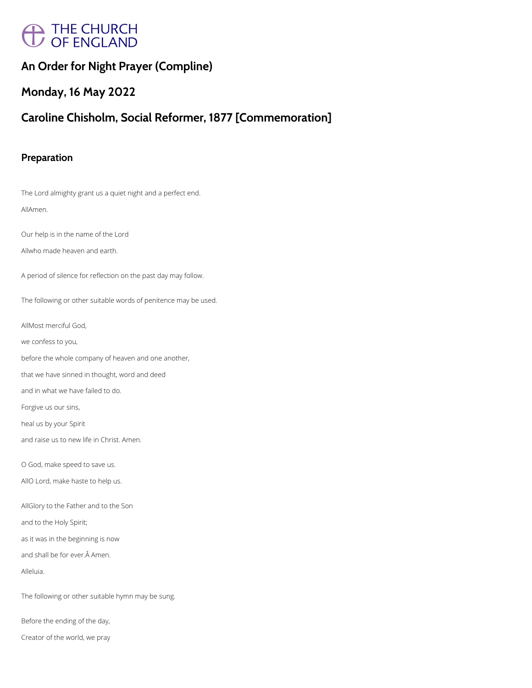# $\sum$  THE CHURCH<br> $\overline{U}$  OF ENGLAND

## **An Order for Night Prayer (Compline)**

# **Monday, 16 May 2022**

# **Caroline Chisholm, Social Reformer, 1877 [Commemoration]**

### **Preparation**

The Lord almighty grant us a quiet night and a perfect end. AllAmen.

Our help is in the name of the Lord

Allwho made heaven and earth.

A period of silence for reflection on the past day may follow.

The following or other suitable words of penitence may be used.

AllMost merciful God,

we confess to you,

before the whole company of heaven and one another,

that we have sinned in thought, word and deed

and in what we have failed to do.

Forgive us our sins,

heal us by your Spirit

and raise us to new life in Christ. Amen.

O God, make speed to save us.

AllO Lord, make haste to help us.

AllGlory to the Father and to the Son

and to the Holy Spirit;

as it was in the beginning is now

and shall be for ever. Â Amen.

Alleluia.

The following or other suitable hymn may be sung.

Before the ending of the day,

Creator of the world, we pray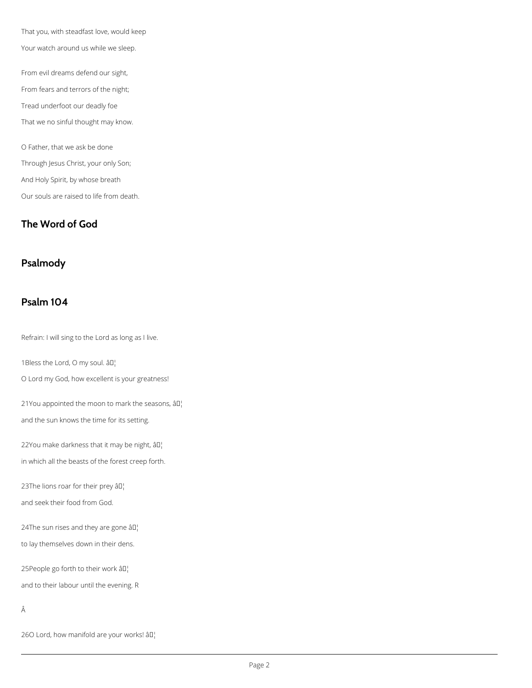That you, with steadfast love, would keep Your watch around us while we sleep.

From evil dreams defend our sight,

From fears and terrors of the night;

Tread underfoot our deadly foe

That we no sinful thought may know.

O Father, that we ask be done Through Jesus Christ, your only Son; And Holy Spirit, by whose breath Our souls are raised to life from death.

21You appointed the moon to mark the seasons,  $\partial D_i$ and the sun knows the time for its setting.

22You make darkness that it may be night,  $\partial I$ 

## **The Word of God**

## **Psalmody**

## **Psalm 104**

Refrain: I will sing to the Lord as long as I live.

1Bless the Lord, O my soul.  $\left.\hat{a}\mathbb{D}\right|_1$ 

O Lord my God, how excellent is your greatness!

in which all the beasts of the forest creep forth.

23The lions roar for their prey  $\partial \mathbb{I}^1$ 

and seek their food from God.

24The sun rises and they are gone  $\partial \Pi$ .

to lay themselves down in their dens.

25People go forth to their work â<sup>[]</sup>

and to their labour until the evening. R

Â

26O Lord, how manifold are your works!  $\partial I$ <sup>'</sup>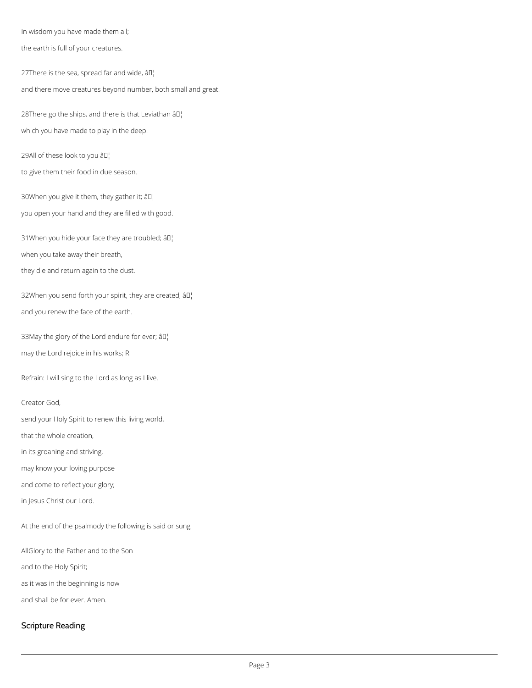In wisdom you have made them all;

the earth is full of your creatures.

27There is the sea, spread far and wide,  $\partial \mathbb{I}^1$ and there move creatures beyond number, both small and great.

28There go the ships, and there is that Leviathan  $\partial D_i$ which you have made to play in the deep.

29All of these look to you  $\partial \Pi_1^+$ 

to give them their food in due season.

30When you give it them, they gather it;  $\partial \mathbb{I}^1$ 

32When you send forth your spirit, they are created, âll and you renew the face of the earth.

33May the glory of the Lord endure for ever;  $\partial \Pi_1^{\dagger}$ may the Lord rejoice in his works; R

you open your hand and they are filled with good.

31When you hide your face they are troubled;  $\partial \Pi$ .

when you take away their breath,

they die and return again to the dust.

Refrain: I will sing to the Lord as long as I live.

Creator God,

send your Holy Spirit to renew this living world,

that the whole creation,

in its groaning and striving,

may know your loving purpose

and come to reflect your glory;

in Jesus Christ our Lord.

At the end of the psalmody the following is said or sung

AllGlory to the Father and to the Son

and to the Holy Spirit;

as it was in the beginning is now

and shall be for ever. Amen.

Scripture Reading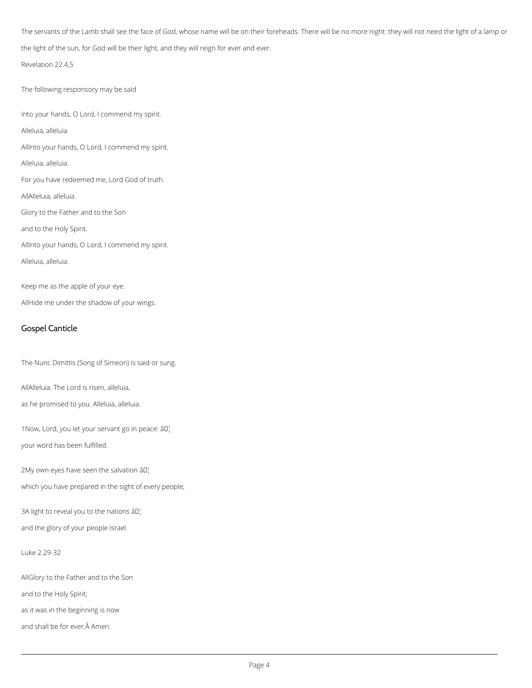The servants of the Lamb shall see the face of God, whose name will be on their foreheads. There will be no more night: they will not need the light of a lamp or the light of the sun, for God will be their light, and they will reign for ever and ever.

Revelation 22.4,5

The following responsory may be said

Into your hands, O Lord, I commend my spirit.

Alleluia, alleluia.

AllInto your hands, O Lord, I commend my spirit.

Alleluia, alleluia.

For you have redeemed me, Lord God of truth.

AllAlleluia, alleluia.

Glory to the Father and to the Son

and to the Holy Spirit.

AllInto your hands, O Lord, I commend my spirit.

Alleluia, alleluia.

Keep me as the apple of your eye.

AllHide me under the shadow of your wings.

#### Gospel Canticle

The Nunc Dimittis (Song of Simeon) is said or sung.

AllAlleluia. The Lord is risen, alleluia,

as he promised to you. Alleluia, alleluia.

1Now, Lord, you let your servant go in peace: âll

your word has been fulfilled.

2My own eyes have seen the salvation  $\partial D_1$ 

which you have prepared in the sight of every people;

and the glory of your people Israel.

Luke 2.29-32

AllGlory to the Father and to the Son

and to the Holy Spirit;

as it was in the beginning is now

and shall be for ever. Â Amen.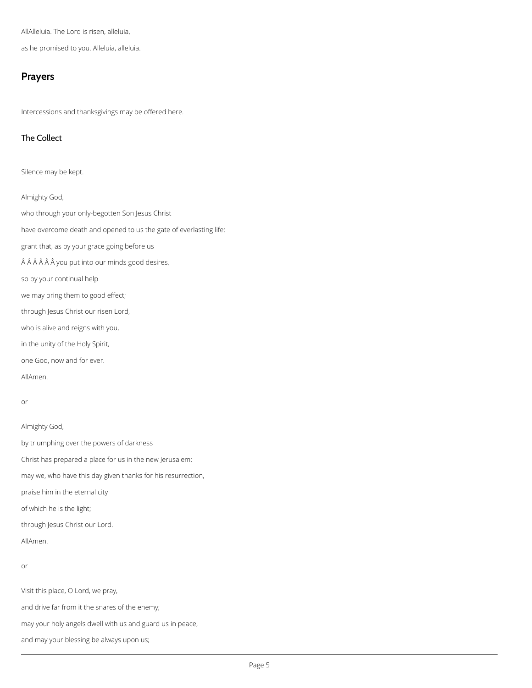AllAlleluia. The Lord is risen, alleluia,

as he promised to you. Alleluia, alleluia.

#### **Prayers**

Intercessions and thanksgivings may be offered here.

#### The Collect

Silence may be kept.

Almighty God,

who through your only-begotten Son Jesus Christ

have overcome death and opened to us the gate of everlasting life:

grant that, as by your grace going before us

ÂÂÂÂÂ vou put into our minds good desires,

so by your continual help

we may bring them to good effect;

through Jesus Christ our risen Lord,

who is alive and reigns with you,

in the unity of the Holy Spirit,

one God, now and for ever.

AllAmen.

#### or

Almighty God,

by triumphing over the powers of darkness

Christ has prepared a place for us in the new Jerusalem:

may we, who have this day given thanks for his resurrection,

praise him in the eternal city

of which he is the light;

through Jesus Christ our Lord.

AllAmen.

or

Visit this place, O Lord, we pray,

and drive far from it the snares of the enemy;

may your holy angels dwell with us and guard us in peace,

and may your blessing be always upon us;